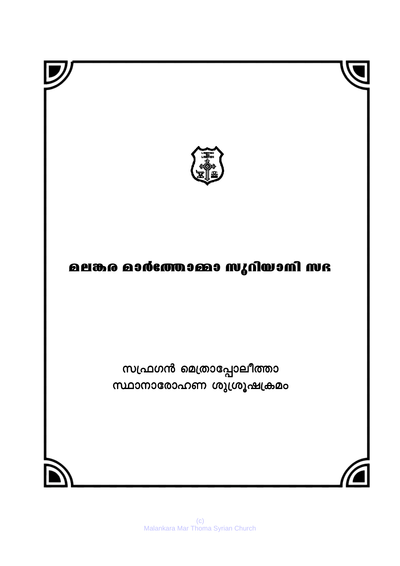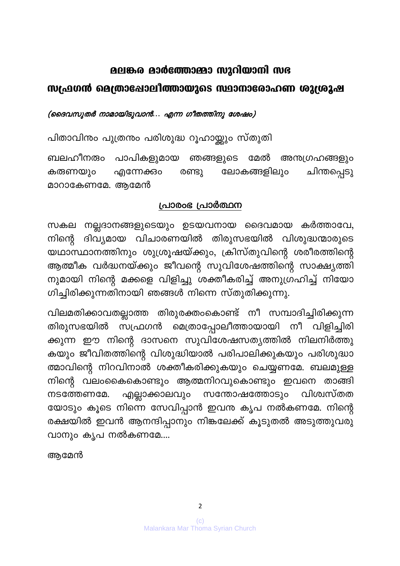#### മലങ്കര മാർത്തോമ്മാ സുറിയാനി സഭ

### സഫ്രഗൻ മെത്രാപ്പോലിത്തായുടെ സ്ഥാനാരോഹണ ശുശ്രുഷ

(ദൈവസുതർ നാമായിടുവാൻ... എന്ന ഗീതത്തിനു ശേഷം)

പിതാവിനും പുത്രനും പരിശുദ്ധ റൂഹായ്ക്കും സ്തുതി

ബലഹീനരും പാപികളുമായ ഞങ്ങളുടെ മേൽ അന്തഗ്രഹങ്ങളും ലോകങ്ങളിലും ചിന്തപ്പെടു കരുണയും എന്നേക്കാം രണ്ടു മാറാകേണമേ. ആമേൻ

#### പ്രാരംഭ പ്രാർത്ഥന

സകല നല്ലദാനങ്ങളുടെയും ഉടയവനായ ദൈവമായ കർത്താവേ, നിന്റെ ദിവ്യമായ വിചാരണയിൽ തിരുസഭയിൽ വിശുദ്ധന്മാരുടെ യഥാസ്ഥാനത്തിനും ശുശ്രൂഷയ്ക്കും, ക്രിസ്തുവിന്റെ ശരീരത്തിന്റെ ആത്മീക വർദ്ധനയ്ക്കും ജീവന്റെ സുവിശേഷത്തിന്റെ സാക്ഷ്യത്തി നുമായി നിന്റെ മക്കളെ വിളിച്ചു ശക്തീകരിച്ച് അനുഗ്രഹിച്ച് നിയോ ഗിച്ചിരിക്കുന്നതിനായി ഞങ്ങൾ നിന്നെ സ്തുതിക്കുന്നു.

വിലമതിക്കാവതല്ലാത്ത തിരുരക്തംകൊണ്ട് നീ സമ്പാദിച്ചിരിക്കുന്ന തിരുസഭയിൽ സഫ്രഗൻ മെത്രാപ്പോലീത്തായായി നീ വിളിച്ചിരി ക്കുന്ന ഈ നിന്റെ ദാസനെ സുവിശേഷസത്യത്തിൽ നിലനിർത്തു കയും ജീവിതത്തിന്റെ വിശുദ്ധിയാൽ പരിപാലിക്കുകയും പരിശുദ്ധാ ത്മാവിന്റെ നിറവിനാൽ ശക്തീകരിക്കുകയും ചെയ്യണമേ. ബലമുള്ള നിന്റെ വലംകൈകൊണ്ടും ആത്മനിറവുകൊണ്ടും ഇവനെ താങ്ങി എല്ലാക്കാലവും സന്തോഷത്തോടും വിശ്വസ്തത നടത്തേണമേ. യോടും കൂടെ നിന്നെ സേവിപ്പാൻ ഇവനു കൃപ നൽകണമേ. നിന്റെ രക്ഷയിൽ ഇവൻ ആനന്ദിപ്പാനും നിങ്കലേക്ക് കൂടുതൽ അടുത്തുവരു വാനും കൃപ നൽകണമേ....

ആമേൻ

 $\overline{2}$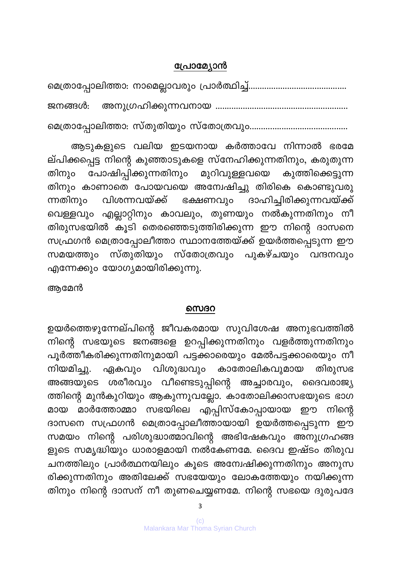#### പ്രോമ്യോൻ

ജനങ്ങൾ: 

ആടുകളുടെ വലിയ ഇടയനായ കർത്താവേ നിന്നാൽ ഭരമേ ല്പിക്കപ്പെട്ട നിന്റെ കുഞ്ഞാടുകളെ സ്നേഹിക്കുന്നതിനും, കരുതുന്ന പോഷിപ്പിക്കുന്നതിനും മുറിവുള്ളവയെ കുത്തിക്കെട്ടുന്ന തിനും തിനും കാണാതെ പോയവയെ അന്വേഷിച്ചു തിരികെ കൊണ്ടുവരു വിശന്നവയ്ക്ക് ദാഹിച്ചിരിക്കുന്നവയ്ക്ക് ഭക്ഷണവും ന്നതിനും വെള്ളവും എല്ലാറ്റിനും കാവലും, തുണയും നൽകുന്നതിനും നീ തിരുസഭയിൽ കൂടി തെരഞ്ഞെടുത്തിരിക്കുന്ന ഈ നിന്റെ ദാസനെ സഫ്രഗൻ മെത്രാപ്പോലീത്താ സ്ഥാനത്തേയ്ക്ക് ഉയർത്തപ്പെടുന്ന ഈ സമയത്തും സ്തുതിയും സ്തോത്രവും പുകഴ്ചയും വന്ദനവും എന്നേക്കും യോഗ്യമായിരിക്കുന്നു.

ആമേൻ

#### സെദറ

ഉയർത്തെഴുന്നേല്പിന്റെ ജീവകരമായ സുവിശേഷ അനുഭവത്തിൽ നിന്റെ സഭയുടെ ജനങ്ങളെ ഉറപ്പിക്കുന്നതിനും വളർത്തുന്നതിനും പൂർത്തീകരിക്കുന്നതിനുമായി പട്ടക്കാരെയും മേൽപട്ടക്കാരെയും നീ ഏകവും വിശുദ്ധവും കാതോലികവുമായ തിരുസഭ നിയമിച്ചു. ശരീരവും വീണ്ടെടുപ്പിന്റെ അച്ചാരവും, ദൈവരാജ്യ അങ്ങയുടെ ത്തിന്റെ മുൻകുറിയും ആകുന്നുവല്ലോ. കാതോലിക്കാസഭയുടെ ഭാഗ മാർത്തോമ്മാ സഭയിലെ എപ്പിസ്കോപ്പായായ ഈ നിന്റെ മായ ദാസനെ സഫ്രഗൻ മെത്രാപ്പോലീത്തായായി ഉയർത്തപ്പെടുന്ന ഈ സമയം നിന്റെ പരിശുദ്ധാത്മാവിന്റെ അഭിഷേകവും അനുഗ്രഹങ്ങ ളുടെ സമൃദ്ധിയും ധാരാളമായി നൽകേണമേ. ദൈവ ഇഷ്ടം തിരുവ ചനത്തിലും പ്രാർത്ഥനയിലും കൂടെ അന്വേഷിക്കുന്നതിനും അനുസ രിക്കുന്നതിനും അതിലേക്ക് സഭയേയും ലോകത്തേയും നയിക്കുന്ന തിനും നിന്റെ ദാസന് നീ തുണചെയ്യണമേ. നിന്റെ സഭയെ ദുരുപദേ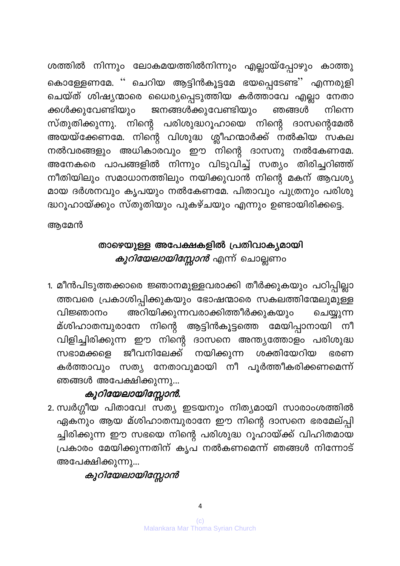ശത്തിൽ നിന്നും ലോകമയത്തിൽനിന്നും എല്ലായ്പ്പോഴും കാത്തു കൊള്ളേണമേ. '' ചെറിയ ആട്ടിൻകൂട്ടമേ ഭയപ്പെടേണ്ട'' എന്നരുളി ചെയ്ത് ശിഷ്യന്മാരെ ധൈര്യപ്പെടുത്തിയ കർത്താവേ എല്ലാ നേതാ ജനങ്ങൾക്കുവേണ്ടിയും ക്കൾക്കുവേണ്ടിയും ഞങ്ങൾ നിന്നെ സ്തുതിക്കുന്നു. നിന്റെ പരിശുദ്ധറൂഹായെ നിന്റെ ദാസന്റെമേൽ അയയ്ക്കേണമേ. നിന്റെ വിശുദ്ധ ശ്ലീഹന്മാർക്ക് നൽകിയ സകല നൽവരങ്ങളും അധികാരവും ഈ നിന്റെ ദാസനു നൽകേണമേ. അനേകരെ പാപങ്ങളിൽ നിന്നും വിടുവിച്ച് സത്യം തിരിച്ചറിഞ്ഞ് നീതിയിലും സമാധാനത്തിലും നയിക്കുവാൻ നിന്റെ മകന് ആവശ്യ മായ ദർശനവും കൃപയും നൽകേണമേ. പിതാവും പുത്രനും പരിശു ദ്ധറൂഹായ്ക്കും സ്തുതിയും പുകഴ്ചയും എന്നും ഉണ്ടായിരിക്കട്ടെ.

അമേൻ

# താഴെയുള്ള അപേക്ഷകളിൽ പ്രതിവാകൃമായി *കുറിയേലായിസ്സോൻ* എന്ന് ചൊല്ലണം

1. മീൻപിടുത്തക്കാരെ ജ്ഞാനമുള്ളവരാക്കി തീർക്കുകയും പഠിപ്പില്ലാ ത്തവരെ പ്രകാശിപ്പിക്കുകയും ഭോഷന്മാരെ സകലത്തിന്മേലുമുള്ള അറിയിക്കുന്നവരാക്കിത്തീർക്കുകയും വിജ്ഞാനം ചെയ്യുന്ന മ്ശിഹാതമ്പുരാനേ നിന്റെ ആട്ടിൻകൂട്ടത്തെ മേയിപ്പാനായി നീ വിളിച്ചിരിക്കുന്ന ഈ നിന്റെ ദാസനെ അന്ത്യത്തോളം പരിശുദ്ധ സഭാമക്കളെ ജീവനിലേക്ക് നയിക്കുന്ന ശക്തിയേറിയ ഭരണ കർത്താവും സത്യ നേതാവുമായി നീ പൂർത്തീകരിക്കണമെന്ന് ഞങ്ങൾ അപേക്ഷിക്കുന്നു...

## കുറിയേലായിസ്സോൻ.

2. സ്വർഗ്ഗീയ പിതാവേ! സത്യ ഇടയനും നിത്യമായി സാരാംശത്തിൽ ഏകനും ആയ മ്ശിഹാതമ്പുരാനേ ഈ നിന്റെ ദാസനെ ഭരമേല്പ്പി ച്ചിരിക്കുന്ന ഈ സഭയെ നിന്റെ പരിശുദ്ധ റൂഹായ്ക്ക് വിഹിതമായ പ്രകാരം മേയിക്കുന്നതിന് കൃപ നൽകണമെന്ന് ഞങ്ങൾ നിന്നോട് അപേക്ഷിക്കുന്നു...

# കുറിയേലായിസ്സോൻ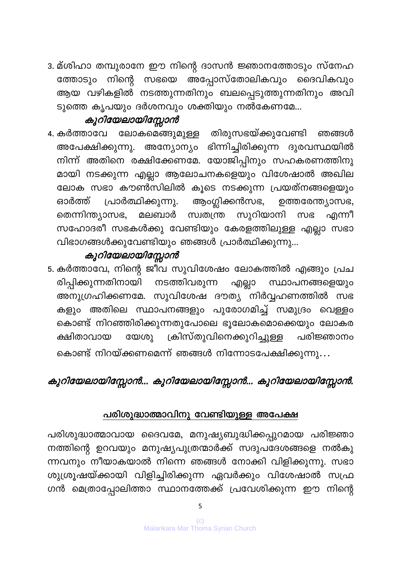3. മ്ശിഹാ തമ്പുരാനേ ഈ നിന്റെ ദാസൻ ജ്ഞാനത്തോടും സ്നേഹ സഭയെ അപ്പോസ്തോലികവും ദൈവികവും ത്തോടും നിന്റെ ആയ വഴികളിൽ നടത്തുന്നതിനും ബലപ്പെടുത്തുന്നതിനും അവി ടുത്തെ കൃപയും ദർശനവും ശക്തിയും നൽകേണമേ...

### കുറിയേലായിസ്സോൻ

ലോകമെങ്ങുമുള്ള തിരുസഭയ്ക്കുവേണ്ടി 4. കർത്താവേ ഞങ്ങൾ അപേക്ഷിക്കുന്നു. അന്യോന്യം ഭിന്നിച്ചിരിക്കുന്ന ദുരവസ്ഥയിൽ നിന്ന് അതിനെ രക്ഷിക്കേണമേ. യോജിപ്പിനും സഹകരണത്തിനു മായി നടക്കുന്ന എല്ലാ ആലോചനകളെയും വിശേഷാൽ അഖില ലോക സഭാ കൗൺസിലിൽ കൂടെ നടക്കുന്ന പ്രയത്നങ്ങളെയും ആ൦ഗ്ലിക്കൻസഭ, പ്രാർത്ഥിക്കുന്നു. ഉത്തരേന്ത്യാസഭ, ഓർത്ത് സുറിയാനി തെന്നിന്ത്യാസഭ, മലബാർ സ്വതന്ത്ര സഭ എന്നീ സഹോദരീ സഭകൾക്കു വേണ്ടിയും കേരളത്തിലുള്ള എല്ലാ സഭാ വിഭാഗങ്ങൾക്കുവേണ്ടിയും ഞങ്ങൾ പ്രാർത്ഥിക്കുന്നു...

### കുറിയേലായിസ്സോൻ

5. കർത്താവേ, നിന്റെ ജീവ സുവിശേഷം ലോകത്തിൽ എങ്ങും പ്രച രിപ്പിക്കുന്നതിനായി നടത്തിവരുന്ന എല്ലാ സ്ഥാപനങ്ങളെയും അനുഗ്രഹിക്കണമേ. സുവിശേഷ ദൗത്യ നിർവ്വഹണത്തിൽ സഭ കളും അതിലെ സ്ഥാപനങ്ങളും പുരോഗമിച്ച് സമുദ്രം വെള്ളം കൊണ്ട് നിറഞ്ഞിരിക്കുന്നതുപോലെ ഭൂലോകമൊക്കെയും ലോകര ക്രിസ്തുവിനെക്കുറിച്ചുള്ള യേശു ക്ഷിതാവായ പരിജ്ഞാനം കൊണ്ട് നിറയ്ക്കണമെന്ന് ഞങ്ങൾ നിന്നോടപേക്ഷിക്കുന്നു...

## കുറിയേലായിസ്സോൻ... കുറിയേലായിസ്സോൻ... കുറിയേലായിസ്സോൻ.

### പരിശുദ്ധാത്മാവിനു വേണ്ടിയുള്ള അപേക്ഷ

പരിശുദ്ധാത്മാവായ ദൈവമേ, മനുഷ്യബുദ്ധിക്കപ്പുറമായ പരിജ്ഞാ നത്തിന്റെ ഉറവയും മനുഷ്യപുത്രന്മാർക്ക് സദുപദേശങ്ങളെ നൽകു ന്നവനും നീയാകയാൽ നിന്നെ ഞങ്ങൾ നോക്കി വിളിക്കുന്നു. സഭാ ശുശ്രൂഷയ്ക്കായി വിളിച്ചിരിക്കുന്ന ഏവർക്കും വിശേഷാൽ സഫ്ര ഗൻ മെത്രാപ്പോലിത്താ സ്ഥാനത്തേക്ക് പ്രവേശിക്കുന്ന ഈ നിന്റെ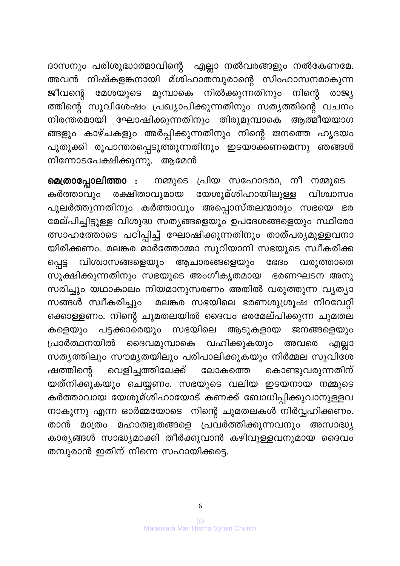ദാസനും പരിശുദ്ധാത്മാവിന്റെ എല്ലാ നൽവരങ്ങളും നൽകേണമേ. അവൻ നിഷ്കളങ്കനായി മ്ശിഹാതമ്പുരാന്റെ സിംഹാസനമാകുന്ന ജീവന്റെ മേശയുടെ മുമ്പാകെ നിൽക്കുന്നതിനും നിന്റെ രാജ്യ ത്തിന്റെ സുവിശേഷം പ്രഖ്യാപിക്കുന്നതിനും സത്യത്തിന്റെ വചനം നിരന്തരമായി ഘോഷിക്കുന്നതിനും തിരുമുമ്പാകെ ആത്മീയയാഗ ങ്ങളും കാഴ്ചകളും അർപ്പിക്കുന്നതിനും നിന്റെ ജനത്തെ ഹൃദയം പുതുക്കി രൂപാന്തരപ്പെടുത്തുന്നതിനും ഇടയാക്കണമെന്നു ഞങ്ങൾ നിന്നോടപേക്ഷിക്കുന്നു. ആമേൻ

മെത്രാപ്പോലിത്താ : നമ്മുടെ പ്രിയ സഹോദരാ, നീ നമ്മുടെ കർത്താവും രക്ഷിതാവുമായ യേശുമ്ശിഹായിലുള്ള വിശ്വാസം പുലർത്തുന്നതിനും കർത്താവും അപ്പൊസ്തലന്മാരും സഭയെ ഭര മേല്പിച്ചിട്ടുള്ള വിശുദ്ധ സത്യങ്ങളെയും ഉപദേശങ്ങളെയും സ്ഥിരോ ത്സാഹത്തോടെ പഠിപ്പിച്ച് ഘോഷിക്കുന്നതിനും താത്പര്യമുള്ളവനാ യിരിക്കണം. മലങ്കര മാർത്തോമ്മാ സുറിയാനി സഭയുടെ സ്വീകരിക്ക ഭേദം വരുത്താതെ വിശ്വാസങ്ങളെയും ആചാരങ്ങളെയും പ്പെട്ട സൂക്ഷിക്കുന്നതിനും സഭയുടെ അംഗീകൃതമായ ഭരണഘടന അനു സരിച്ചും യഥാകാലം നിയമാനുസരണം അതിൽ വരുത്തുന്ന വ്യത്യാ മലങ്കര സഭയിലെ ഭരണശുശ്രൂഷ നിറവേറ്റി സങ്ങൾ സ്വീകരിച്ചും ക്കൊള്ളണം. നിന്റെ ചുമതലയിൽ ദൈവം ഭരമേല്പിക്കുന്ന ചുമതല കളെയും പട്ടക്കാരെയും സഭയിലെ ആടുകളായ ജനങ്ങളെയും പ്രാർത്ഥനയിൽ ദൈവമുമ്പാകെ വഹിക്കുകയും അവരെ എല്ലാ സത്യത്തിലും സൗമൃതയിലും പരിപാലിക്കുകയും നിർമ്മല സുവിശേ വെളിച്ചത്തിലേക്ക് ലോകത്തെ കൊണ്ടുവരുന്നതിന് ഷത്തിന്റെ യത്നിക്കുകയും ചെയ്യണം. സഭയുടെ വലിയ ഇടയനായ നമ്മുടെ കർത്താവായ യേശുമ്ശിഹായോട് കണക്ക് ബോധിപ്പിക്കുവാനുള്ളവ നാകുന്നു എന്ന ഓർമ്മയോടെ നിന്റെ ചുമതലകൾ നിർവ്വഹിക്കണം. മാത്രം മഹാത്ഭുതങ്ങളെ പ്രവർത്തിക്കുന്നവനും അസാദ്ധ്യ താൻ കാര്യങ്ങൾ സാദ്ധ്യമാക്കി തീർക്കുവാൻ കഴിവുള്ളവനുമായ ദൈവം തമ്പുരാൻ ഇതിന് നിന്നെ സഹായിക്കട്ടെ.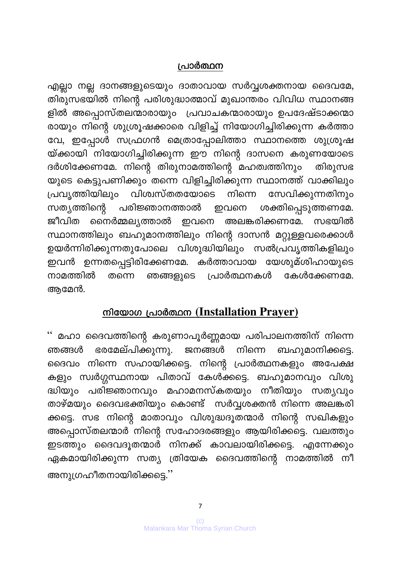#### പ്രാർത്ഥന

എല്ലാ നല്ല ദാനങ്ങളുടെയും ദാതാവായ സർവ്വശക്തനായ ദൈവമേ, തിരുസഭയിൽ നിന്റെ പരിശുദ്ധാത്മാവ് മുഖാന്തരം വിവിധ സ്ഥാനങ്ങ ളിൽ അപ്പൊസ്തലന്മാരായും പ്രവാചകന്മാരായും ഉപദേഷ്ടാക്കന്മാ രായും നിന്റെ ശുശ്രൂഷക്കാരെ വിളിച്ച് നിയോഗിച്ചിരിക്കുന്ന കർത്താ വേ, ഇപ്പോൾ സഫ്രഗൻ മെത്രാപ്പോലിത്താ സ്ഥാനത്തെ ശുശ്രൂഷ യ്ക്കായി നിയോഗിച്ചിരിക്കുന്ന ഈ നിന്റെ ദാസനെ കരുണയോടെ ദർശിക്കേണമേ. നിന്റെ തിരുനാമത്തിന്റെ മഹത്വത്തിനും തിരുസഭ യുടെ കെട്ടുപണിക്കും തന്നെ വിളിച്ചിരിക്കുന്ന സ്ഥാനത്ത് വാക്കിലും പ്രവൃത്തിയിലും വിശ്വസ്തതയോടെ നിന്നെ സേവിക്കുന്നതിനും സത്യത്തിന്റെ പരിജ്ഞാനത്താൽ ശക്തിപ്പെടുത്തണമേ. ഇവനെ ജീവിത നൈർമ്മല്യത്താൽ ഇവനെ അലങ്കരിക്കണമേ. സഭയിൽ സ്ഥാനത്തിലും ബഹുമാനത്തിലും നിന്റെ ദാസൻ മറ്റുള്ളവരെക്കാൾ ഉയർന്നിരിക്കുന്നതുപോലെ വിശുദ്ധിയിലും സൽപ്രവൃത്തികളിലും ഇവൻ ഉന്നതപ്പെട്ടിരിക്കേണമേ. കർത്താവായ യേശുമ്ശിഹായുടെ നാമത്തിൽ പ്രാർത്ഥനകൾ ഞങ്ങളുടെ കേൾക്കേണമേ. തന്നെ ആമേൻ.

### നിയോഗ പ്രാർത്ഥന (Installation Prayer)

'' മഹാ ദൈവത്തിന്റെ കരുണാപൂർണ്ണമായ പരിപാലനത്തിന് നിന്നെ ഭരമേല്പിക്കുന്നു. ജനങ്ങൾ നിന്നെ ബഹുമാനിക്കട്ടെ. ഞങ്ങൾ ദൈവം നിന്നെ സഹായിക്കട്ടെ. നിന്റെ പ്രാർത്ഥനകളും അപേക്ഷ കളും സ്വർഗ്ഗസ്ഥനായ പിതാവ് കേൾക്കട്ടെ. ബഹുമാനവും വിശു ദ്ധിയും പരിജ്ഞാനവും മഹാമനസ്കതയും നീതിയും സതൃവും താഴ്മയും ദൈവഭക്തിയും കൊണ്ട് സർവ്വശക്തൻ നിന്നെ അലങ്കരി ക്കട്ടെ. സഭ നിന്റെ മാതാവും വിശുദ്ധദൂതന്മാർ നിന്റെ സഖികളും അപ്പൊസ്തലന്മാർ നിന്റെ സഹോദരങ്ങളും ആയിരിക്കട്ടെ. വലത്തും ഇടത്തും ദൈവദൂതന്മാർ നിനക്ക് കാവലായിരിക്കട്ടെ. എന്നേക്കും ഏകമായിരിക്കുന്ന സത്യ ത്രിയേക ദൈവത്തിന്റെ നാമത്തിൽ നീ അനുഗ്രഹീതനായിരിക്കട്ടെ.''